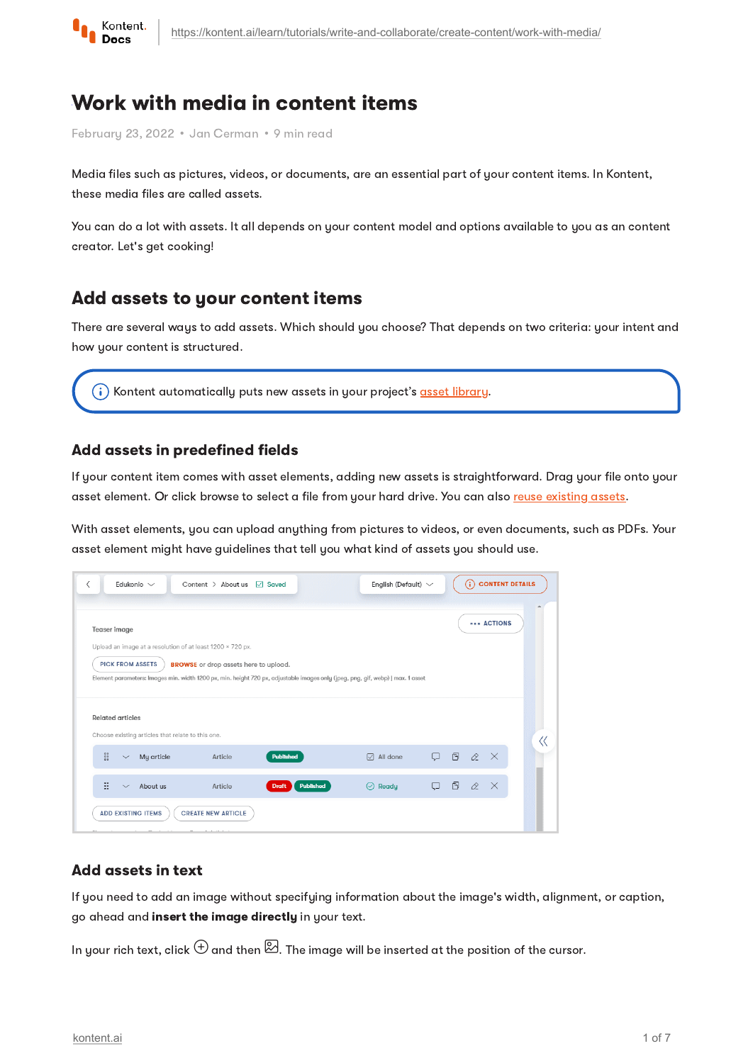

# Work with media in content items

February 23, 2022 · Jan Cerman · 9 min read

Media files such as pictures, videos, or documents, are an essential part of your content items. In Kontent, these media files are called assets.

You can do a lot with assets. It all depends on your content model and options available to you as an content creator. Let's get cooking!

## <span id="page-0-0"></span>Add assets to your content items

There are several ways to add assets. Which should you choose? That depends on two criteria: your intent and how your content is structured.

 $(i)$  Kontent automatically puts new assets in your project's asset [library](https://kontent.ai/learn/tutorials/write-and-collaborate/create-content/asset-library-overview/).

#### Add assets in predefined fields

If your content item comes with asset elements, adding new assets is straightforward. Drag your file onto your asset element. Or click browse to select a file from your hard drive. You can also reuse [existing](#page-6-0) assets.

With asset elements, you can upload anything from pictures to videos, or even documents, such as PDFs. Your asset element might have guidelines that tell you what kind of assets you should use.

| Teaser image            |                                                   |                                                            |                                                                                                                                 |                     |   |   |          | <b>BRACTIONS</b> |  |
|-------------------------|---------------------------------------------------|------------------------------------------------------------|---------------------------------------------------------------------------------------------------------------------------------|---------------------|---|---|----------|------------------|--|
|                         |                                                   | Upload an image at a resolution of at least 1200 x 720 px. |                                                                                                                                 |                     |   |   |          |                  |  |
|                         | <b>PICK FROM ASSETS</b>                           | <b>BROWSE</b> or drop assets here to upload.               |                                                                                                                                 |                     |   |   |          |                  |  |
|                         |                                                   |                                                            |                                                                                                                                 |                     |   |   |          |                  |  |
|                         |                                                   |                                                            | Element parameters: Images min. width 1200 px, min. height 720 px, adjustable images only (jpeg, png, gif, webp)   max. 1 asset |                     |   |   |          |                  |  |
|                         |                                                   |                                                            |                                                                                                                                 |                     |   |   |          |                  |  |
| <b>Related articles</b> |                                                   |                                                            |                                                                                                                                 |                     |   |   |          |                  |  |
|                         | Choose existing articles that relate to this one. |                                                            |                                                                                                                                 |                     |   |   |          |                  |  |
|                         | $\checkmark$                                      |                                                            |                                                                                                                                 |                     |   |   |          |                  |  |
| ::                      | My article                                        | Article                                                    | <b>Published</b>                                                                                                                | $\sqrt{ }$ All done | o | 图 | $\alpha$ | $\mathbb{R}$     |  |

#### Add assets in text

If you need to add an image without specifying information about the image's width, alignment, or caption, go ahead and insert the image directly in your text.

In your rich text, click  $\oplus$  and then  $\boxtimes$ . The image will be inserted at the position of the cursor.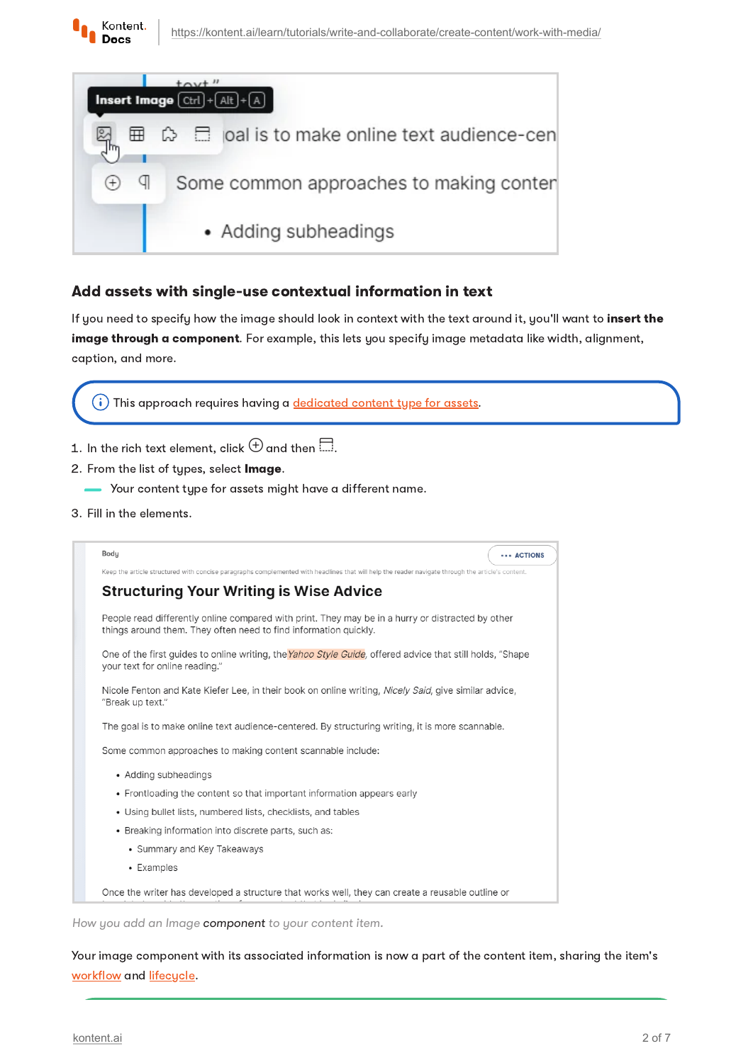



#### <span id="page-1-0"></span>Add assets with single-use contextual information in text

If you need to specify how the image should look in context with the text around it, you'll want to insert the image through a component. For example, this lets you specify image metadata like width, alignment, caption, and more.

 $(i)$  This approach requires having a [dedicated](https://kontent.ai/learn/tutorials/manage-kontent/content-modeling/organize-assets/) content type for assets.

- 1. In the rich text element, click  $\bigoplus$  and then  $\Box$  .
- 2. From the list of types, select Image.
	- $\blacktriangleright$  Your content type for assets might have a different name.
- 3 Fill in the elements.



How you add an Image component to your content item.

Your image component with its associated information is now a part of the content item, sharing the item's [workflow](https://kontent.ai/learn/tutorials/manage-kontent/roles-and-workflow/manage-workflows/) and [lifecycle.](https://kontent.ai/learn/tutorials/write-and-collaborate/create-content/introducing-content-items/)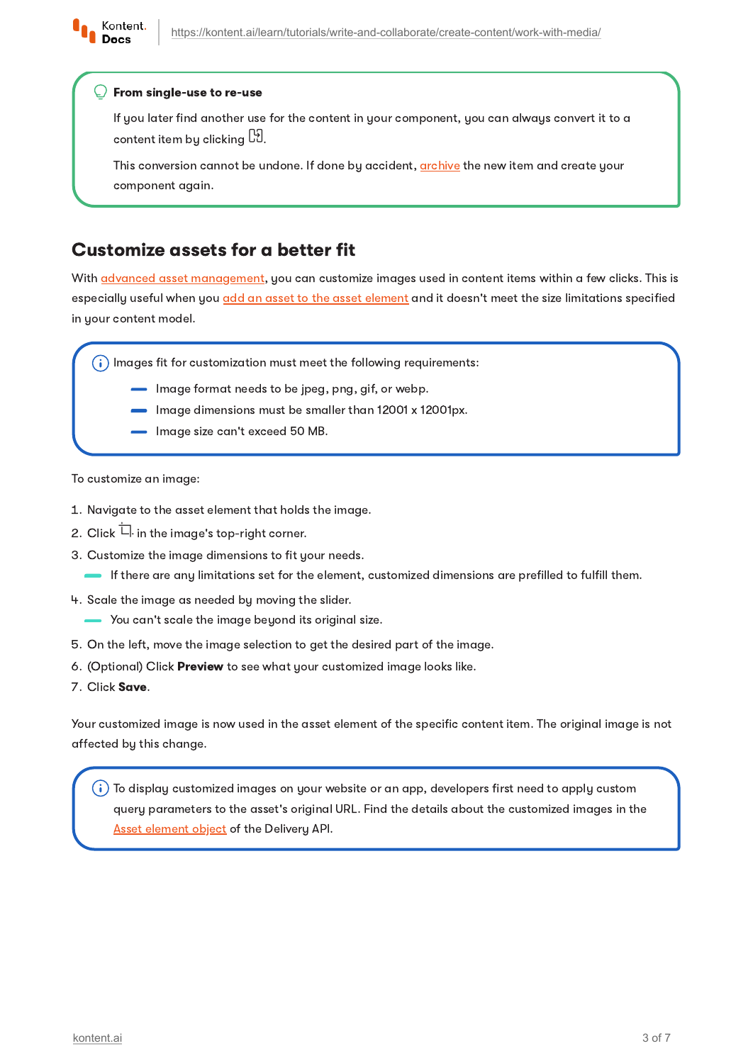

#### From single-use to re-use

If you later find another use for the content in your component, you can always convert it to a content item bu clicking  $\boxdot$  .

This conversion cannot be undone. If done by accident, [archive](https://kontent.ai/learn/tutorials/write-and-collaborate/publish-your-work/unpublish-content-items/) the new item and create your component again.

## Customize assets for a better fit

With **advanced asset [management](https://kontent.ai/learn/tutorials/manage-kontent/assets/manage-assets/)**, you can customize images used in content items within a few clicks. This is especially useful when you add an asset to the asset [element](https://kontent.ai/learn/tutorials/write-and-collaborate/create-content/work-with-media/#a-add-assets-in-predefined-fields) and it doesn't meet the size limitations specified in your content model.

 $(i)$  Images fit for customization must meet the following requirements:

- Image format needs to be jpeg, png, gif, or webp.
- Image dimensions must be smaller than 12001 x 12001px.
- Image size can't exceed 50 MB.

To customize an image:

- 1. Navigate to the asset element that holds the image.
- 2. Click  $\overleftarrow{\Box}$  in the image's top-right corner.
- 3 Customize the image dimensions to fit your needs.
	- If there are any limitations set for the element, customized dimensions are prefilled to fulfill them.
- 4. Scale the image as needed by moving the slider.
	- You can't scale the image beyond its original size.
- 5 On the left, move the image selection to get the desired part of the image.
- 6. (Optional) Click Preview to see what your customized image looks like.
- 7. Click Save.

Your customized image is now used in the asset element of the specific content item. The original image is not affected by this change.

 $(i)$  To display customized images on your website or an app, developers first need to apply custom query parameters to the asset's original URL. Find the details about the customized images in the Asset [element](https://kontent.ai/learn/reference/delivery-api/#tag/Content-elements) object of the Delivery API.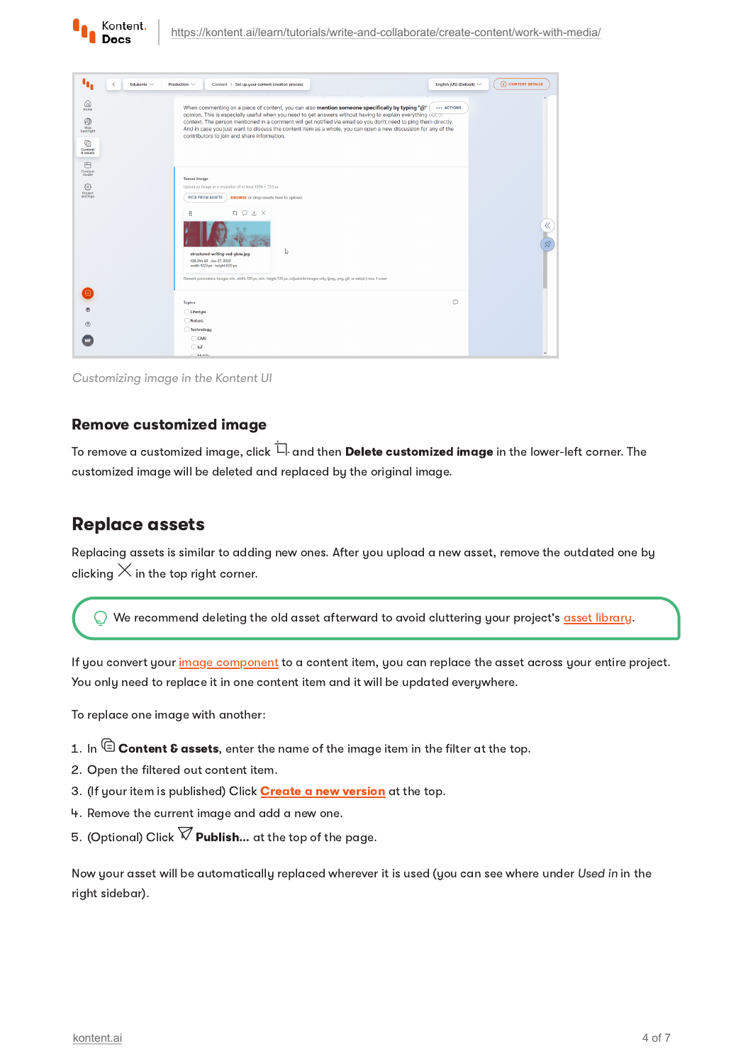

| ٠.<br>Edukonio ~<br>₹                                                          | Production $\sim$<br>Content > Set up your content creation process                                                                                                                                                                                                                                                                                                                                                                                                                               | English (US) (Default) $\sim$ | (i) CONTENT DETAILS  |
|--------------------------------------------------------------------------------|---------------------------------------------------------------------------------------------------------------------------------------------------------------------------------------------------------------------------------------------------------------------------------------------------------------------------------------------------------------------------------------------------------------------------------------------------------------------------------------------------|-------------------------------|----------------------|
| 6<br>Home<br>6<br>Web<br>Spotlight<br>℮<br>Content<br>8 assets<br>日<br>Content | When commenting on a piece of content, you can also mention someone specifically by typing "@"<br>opinion. This is especially useful when you need to get answers without having to explain everything out or<br>context. The person mentioned in a comment will get notified via email so you don't need to ping them directly.<br>And in case you just want to discuss the content item as a whole, you can open a new discussion for any of the<br>contributors to join and share information. | ACTIONS                       |                      |
| model<br>€<br>Project<br>settings                                              | <b>Teaser image</b><br>Upload an image at a resolution of at least 1200 x 720 px.<br><b>BROWSE</b> or drop assets here to upload.<br><b>PICK FROM ASSETS</b><br><b>ti</b> D & X<br>÷<br>↳<br>structured-writing-red-glow.jpg<br>108.344 kB - Jan 27, 2020<br>width 1920 px - height 800 px<br>Element parameters: Images min. width 720 px, min. height 576 px, adjustable images only (jpeg, png, gif, or webp)   max. 1 asset                                                                   |                               | «<br>$\mathcal{S}^2$ |
| 曲<br>$\circledR$                                                               | <b>Topics</b><br>Lifestyle<br>Nature<br>Technology                                                                                                                                                                                                                                                                                                                                                                                                                                                | ο                             |                      |
|                                                                                | $\Box$ CMS<br>$\Box$ loT<br><b>COMMA</b>                                                                                                                                                                                                                                                                                                                                                                                                                                                          |                               |                      |

Customizing image in the Kontent UI

#### Remove customized image

To remove a customized image, click  $\overleftarrow{\Box}$  and then **Delete customized image** in the lower-left corner. The customized image will be deleted and replaced by the original image.

#### Replace assets

Replacing assets is similar to adding new ones. After you upload a new asset, remove the outdated one by clicking  $\times$  in the top right corner.

We recommend deleting the old asset afterward to avoid cluttering your project's asset [library.](https://kontent.ai/learn/tutorials/write-and-collaborate/create-content/asset-library-overview/)

If you convert your image [component](#page-1-0) to a content item, you can replace the asset across your entire project. You only need to replace it in one content item and it will be updated everywhere.

To replace one image with another:

- 1. In  $\mathbf \mathbf \mathbf \mathbb C$  Content & assets, enter the name of the image item in the filter at the top.
- 2. Open the filtered out content item.
- 3. (If your item is published) Click **Create a new [version](https://kontent.ai/learn/tutorials/write-and-collaborate/publish-your-work/create-new-versions/)** at the top.
- 4. Remove the current image and add a new one.
- 5. (Optional) Click  $\widehat{\nabla}$  Publish... at the top of the page.

Now your asset will be automatically replaced wherever it is used (you can see where under Used in in the right sidebar).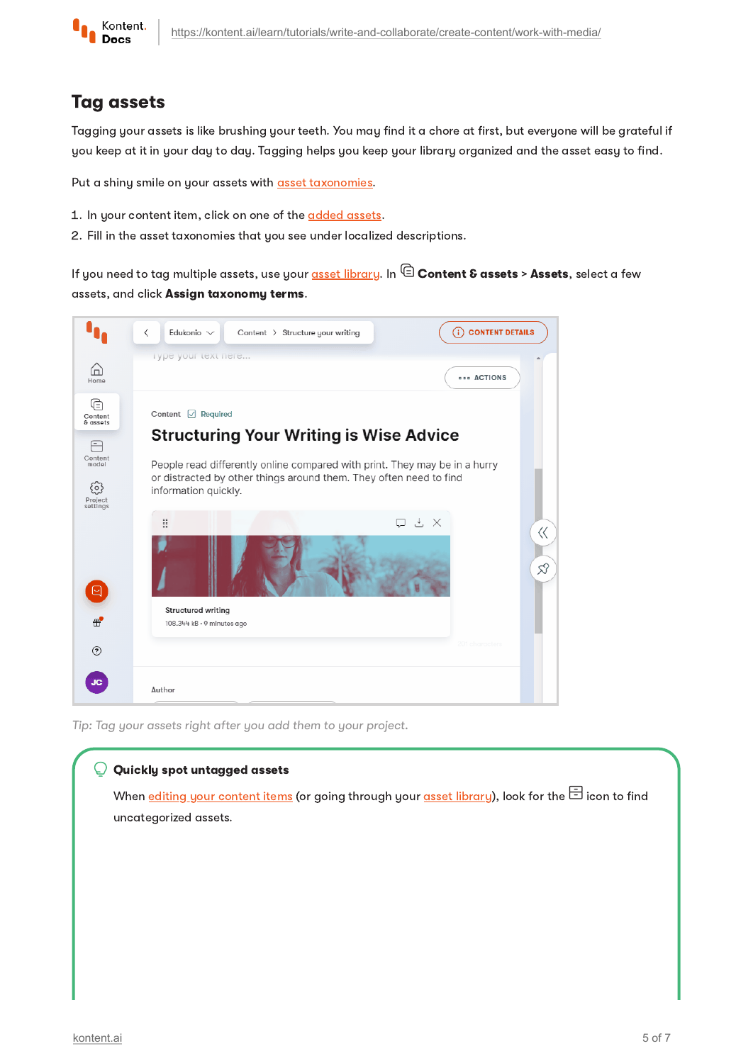

## Tag assets

Tagging your assets is like brushing your teeth. You may find it a chore at first, but everyone will be grateful if you keep at it in your day to day. Tagging helps you keep your library organized and the asset easy to find.

Put a shiny smile on your assets with asset [taxonomies.](https://kontent.ai/learn/tutorials/manage-kontent/assets/manage-assets/#a-tag-your-assets-with-asset-taxonomies)

- 1. In your content item, click on one of the [added](#page-0-0) assets.
- 2 Fill in the asset taxonomies that you see under localized descriptions.

If you need to tag multiple assets, use your asset [library.](https://kontent.ai/learn/tutorials/write-and-collaborate/create-content/asset-library-overview/) In  $\mathrel{\textcircled{\mathbb{E}}}$  Content & assets > Assets, select a few assets, and click Assign taxonomy terms.



Tip: Tag your assets right after you add them to your project.

#### O Quickly spot untagged assets

When editing your [content](https://kontent.ai/learn/tutorials/write-and-collaborate/create-content/introducing-content-items/) items (or going through your asset [library](https://kontent.ai/learn/tutorials/write-and-collaborate/create-content/asset-library-overview/)), look for the  $\Xi$  icon to find uncategorized assets.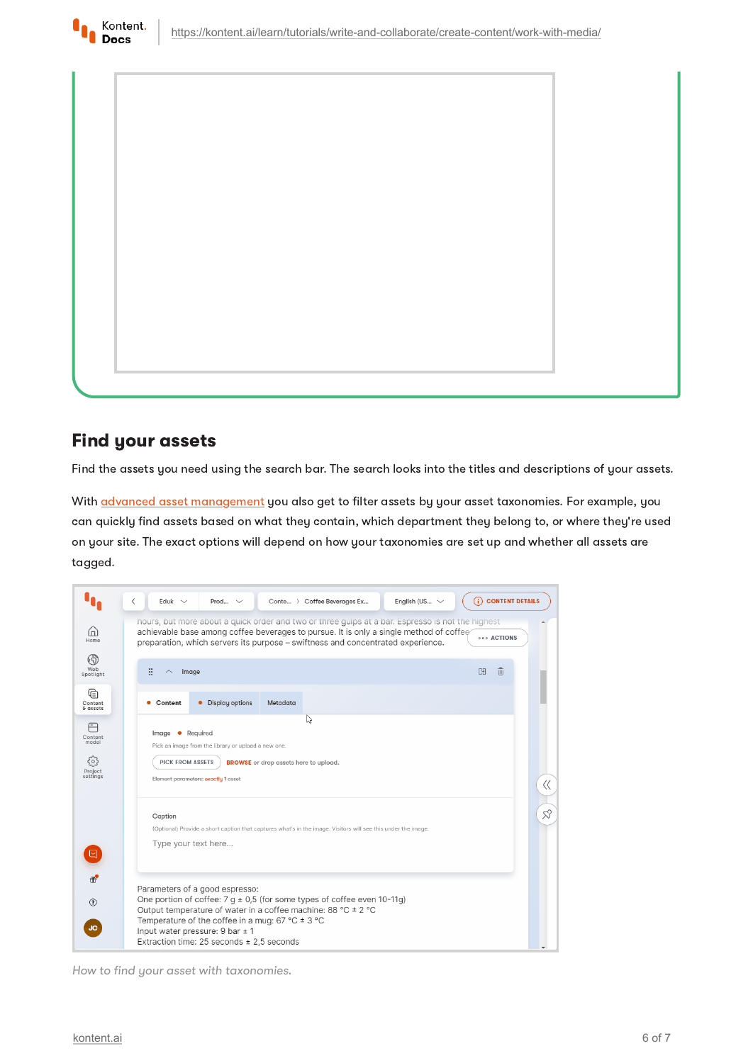

## <span id="page-5-0"></span>Find your assets

Kontent. **Docs** 

Find the assets you need using the search bar. The search looks into the titles and descriptions of your assets.

With **advanced asset [management](https://kontent.ai/learn/tutorials/manage-kontent/assets/tag-assets/)** you also get to filter assets by your asset taxonomies. For example, you can quickly find assets based on what they contain, which department they belong to, or where they're used on your site. The exact options will depend on how your taxonomies are set up and whether all assets are tagged.

|                                    | English (US $\sim$<br>(i) CONTENT DETAILS<br>⟨<br>Eduk $\sim$<br>Conte > Coffee Beverages Ex<br>Prod $\sim$                                                                                                                                                                                       |       |  |  |  |  |
|------------------------------------|---------------------------------------------------------------------------------------------------------------------------------------------------------------------------------------------------------------------------------------------------------------------------------------------------|-------|--|--|--|--|
| ⋒<br>Home                          | hours, but more about a quick order and two or three gulps at a bar. Espresso is not the highest<br>achievable base among coffee beverages to pursue. It is only a single method of coffee<br><b>BRACTIONS</b><br>preparation, which servers its purpose – swiftness and concentrated experience. |       |  |  |  |  |
| $\circledcirc$<br>Web<br>Spotlight | 88<br>而<br>囹<br>Image                                                                                                                                                                                                                                                                             |       |  |  |  |  |
| ুি<br>Content<br>& assets          | Display options<br>Metadata<br>Content                                                                                                                                                                                                                                                            |       |  |  |  |  |
|                                    | ド                                                                                                                                                                                                                                                                                                 |       |  |  |  |  |
| Content<br>model                   | Image • Required<br>Pick an image from the library or upload a new one.                                                                                                                                                                                                                           |       |  |  |  |  |
| ર્ંગ્ડ                             | <b>PICK FROM ASSETS</b><br><b>BROWSE</b> or drop assets here to upload.                                                                                                                                                                                                                           |       |  |  |  |  |
| Project<br>settings                | Element parameters: exactly 1 asset                                                                                                                                                                                                                                                               | $\ll$ |  |  |  |  |
|                                    | Caption                                                                                                                                                                                                                                                                                           | ☆     |  |  |  |  |
|                                    | (Optional) Provide a short caption that captures what's in the image. Visitors will see this under the image.                                                                                                                                                                                     |       |  |  |  |  |
|                                    | Type your text here                                                                                                                                                                                                                                                                               |       |  |  |  |  |
| $\oplus$                           | Parameters of a good espresso:                                                                                                                                                                                                                                                                    |       |  |  |  |  |
| (2)                                | One portion of coffee: $7 g \pm 0.5$ (for some types of coffee even 10-11g)<br>Output temperature of water in a coffee machine: 88 °C ± 2 °C                                                                                                                                                      |       |  |  |  |  |
| JC.                                | Temperature of the coffee in a mug: 67 °C $\pm$ 3 °C<br>Input water pressure: $9$ bar $\pm$ 1                                                                                                                                                                                                     |       |  |  |  |  |
|                                    | Extraction time: 25 seconds $\pm$ 2,5 seconds                                                                                                                                                                                                                                                     |       |  |  |  |  |

How to find your asset with taxonomies.